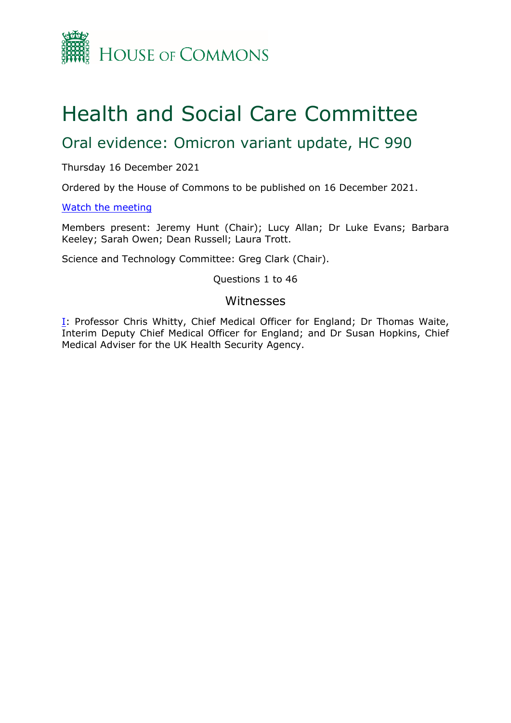

# Health and Social Care Committee

## Oral evidence: Omicron variant update, HC 990

Thursday 16 December 2021

Ordered by the House of Commons to be published on 16 December 2021.

[Watch](https://www.parliamentlive.tv/Event/Index/0fb03083-7342-4579-9157-ce50c052c24c) [the](https://www.parliamentlive.tv/Event/Index/0fb03083-7342-4579-9157-ce50c052c24c) [meeting](https://www.parliamentlive.tv/Event/Index/0fb03083-7342-4579-9157-ce50c052c24c)

Members present: Jeremy Hunt (Chair); Lucy Allan; Dr Luke Evans; Barbara Keeley; Sarah Owen; Dean Russell; Laura Trott.

Science and Technology Committee: Greg Clark (Chair).

Questions 1 to 46

#### Witnesses

[I:](#page-1-0) Professor Chris Whitty, Chief Medical Officer for England; Dr Thomas Waite, Interim Deputy Chief Medical Officer for England; and Dr Susan Hopkins, Chief Medical Adviser for the UK Health Security Agency.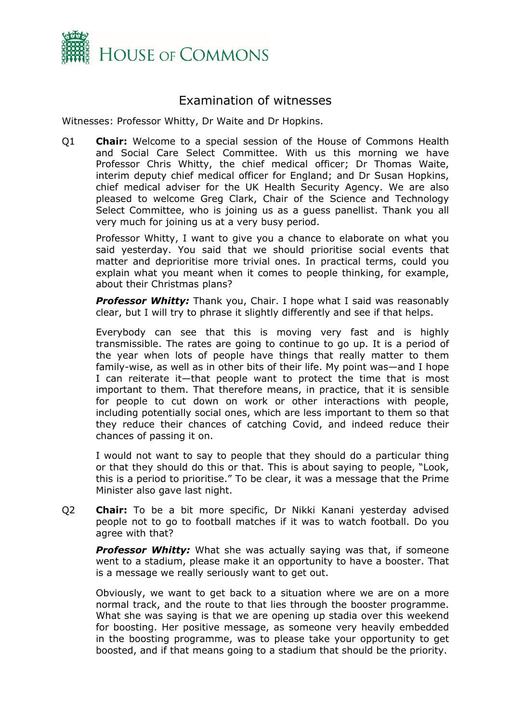

### <span id="page-1-0"></span>Examination of witnesses

Witnesses: Professor Whitty, Dr Waite and Dr Hopkins.

Q1 **Chair:** Welcome to a special session of the House of Commons Health and Social Care Select Committee. With us this morning we have Professor Chris Whitty, the chief medical officer; Dr Thomas Waite, interim deputy chief medical officer for England; and Dr Susan Hopkins, chief medical adviser for the UK Health Security Agency. We are also pleased to welcome Greg Clark, Chair of the Science and Technology Select Committee, who is joining us as a guess panellist. Thank you all very much for joining us at a very busy period.

Professor Whitty, I want to give you a chance to elaborate on what you said yesterday. You said that we should prioritise social events that matter and deprioritise more trivial ones. In practical terms, could you explain what you meant when it comes to people thinking, for example, about their Christmas plans?

**Professor Whitty:** Thank you, Chair. I hope what I said was reasonably clear, but I will try to phrase it slightly differently and see if that helps.

Everybody can see that this is moving very fast and is highly transmissible. The rates are going to continue to go up. It is a period of the year when lots of people have things that really matter to them family-wise, as well as in other bits of their life. My point was—and I hope I can reiterate it—that people want to protect the time that is most important to them. That therefore means, in practice, that it is sensible for people to cut down on work or other interactions with people, including potentially social ones, which are less important to them so that they reduce their chances of catching Covid, and indeed reduce their chances of passing it on.

I would not want to say to people that they should do a particular thing or that they should do this or that. This is about saying to people, "Look, this is a period to prioritise." To be clear, it was a message that the Prime Minister also gave last night.

Q2 **Chair:** To be a bit more specific, Dr Nikki Kanani yesterday advised people not to go to football matches if it was to watch football. Do you agree with that?

**Professor Whitty:** What she was actually saying was that, if someone went to a stadium, please make it an opportunity to have a booster. That is a message we really seriously want to get out.

Obviously, we want to get back to a situation where we are on a more normal track, and the route to that lies through the booster programme. What she was saying is that we are opening up stadia over this weekend for boosting. Her positive message, as someone very heavily embedded in the boosting programme, was to please take your opportunity to get boosted, and if that means going to a stadium that should be the priority.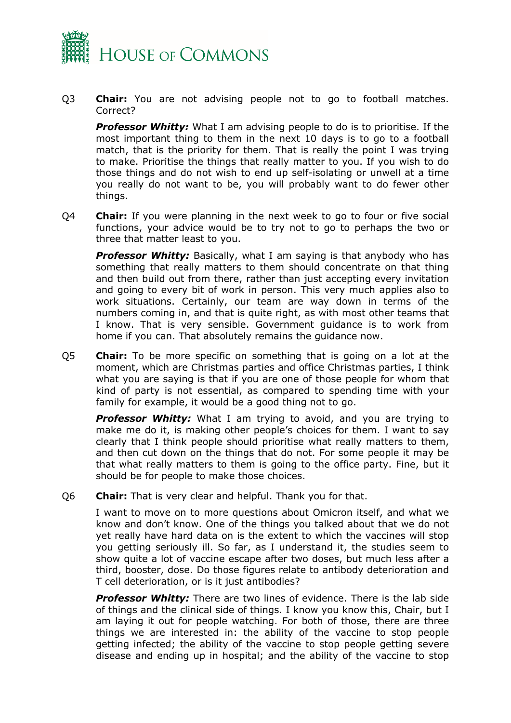

Q3 **Chair:** You are not advising people not to go to football matches. Correct?

*Professor Whitty:* What I am advising people to do is to prioritise. If the most important thing to them in the next 10 days is to go to a football match, that is the priority for them. That is really the point I was trying to make. Prioritise the things that really matter to you. If you wish to do those things and do not wish to end up self-isolating or unwell at a time you really do not want to be, you will probably want to do fewer other things.

Q4 **Chair:** If you were planning in the next week to go to four or five social functions, your advice would be to try not to go to perhaps the two or three that matter least to you.

**Professor Whitty:** Basically, what I am saying is that anybody who has something that really matters to them should concentrate on that thing and then build out from there, rather than just accepting every invitation and going to every bit of work in person. This very much applies also to work situations. Certainly, our team are way down in terms of the numbers coming in, and that is quite right, as with most other teams that I know. That is very sensible. Government guidance is to work from home if you can. That absolutely remains the guidance now.

Q5 **Chair:** To be more specific on something that is going on a lot at the moment, which are Christmas parties and office Christmas parties, I think what you are saying is that if you are one of those people for whom that kind of party is not essential, as compared to spending time with your family for example, it would be a good thing not to go.

**Professor Whitty:** What I am trying to avoid, and you are trying to make me do it, is making other people's choices for them. I want to say clearly that I think people should prioritise what really matters to them, and then cut down on the things that do not. For some people it may be that what really matters to them is going to the office party. Fine, but it should be for people to make those choices.

Q6 **Chair:** That is very clear and helpful. Thank you for that.

I want to move on to more questions about Omicron itself, and what we know and don't know. One of the things you talked about that we do not yet really have hard data on is the extent to which the vaccines will stop you getting seriously ill. So far, as I understand it, the studies seem to show quite a lot of vaccine escape after two doses, but much less after a third, booster, dose. Do those figures relate to antibody deterioration and T cell deterioration, or is it just antibodies?

*Professor Whitty:* There are two lines of evidence. There is the lab side of things and the clinical side of things. I know you know this, Chair, but I am laying it out for people watching. For both of those, there are three things we are interested in: the ability of the vaccine to stop people getting infected; the ability of the vaccine to stop people getting severe disease and ending up in hospital; and the ability of the vaccine to stop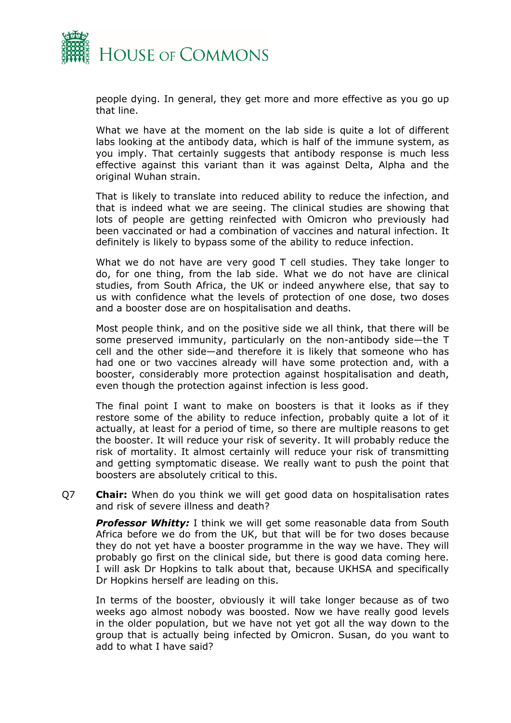

people dying. In general, they get more and more effective as you go up that line.

What we have at the moment on the lab side is quite a lot of different labs looking at the antibody data, which is half of the immune system, as you imply. That certainly suggests that antibody response is much less effective against this variant than it was against Delta, Alpha and the original Wuhan strain.

That is likely to translate into reduced ability to reduce the infection, and that is indeed what we are seeing. The clinical studies are showing that lots of people are getting reinfected with Omicron who previously had been vaccinated or had a combination of vaccines and natural infection. It definitely is likely to bypass some of the ability to reduce infection.

What we do not have are very good T cell studies. They take longer to do, for one thing, from the lab side. What we do not have are clinical studies, from South Africa, the UK or indeed anywhere else, that say to us with confidence what the levels of protection of one dose, two doses and a booster dose are on hospitalisation and deaths.

Most people think, and on the positive side we all think, that there will be some preserved immunity, particularly on the non-antibody side—the T cell and the other side—and therefore it is likely that someone who has had one or two vaccines already will have some protection and, with a booster, considerably more protection against hospitalisation and death, even though the protection against infection is less good.

The final point I want to make on boosters is that it looks as if they restore some of the ability to reduce infection, probably quite a lot of it actually, at least for a period of time, so there are multiple reasons to get the booster. It will reduce your risk of severity. It will probably reduce the risk of mortality. It almost certainly will reduce your risk of transmitting and getting symptomatic disease. We really want to push the point that boosters are absolutely critical to this.

Q7 **Chair:** When do you think we will get good data on hospitalisation rates and risk of severe illness and death?

*Professor Whitty:* I think we will get some reasonable data from South Africa before we do from the UK, but that will be for two doses because they do not yet have a booster programme in the way we have. They will probably go first on the clinical side, but there is good data coming here. I will ask Dr Hopkins to talk about that, because UKHSA and specifically Dr Hopkins herself are leading on this.

In terms of the booster, obviously it will take longer because as of two weeks ago almost nobody was boosted. Now we have really good levels in the older population, but we have not yet got all the way down to the group that is actually being infected by Omicron. Susan, do you want to add to what I have said?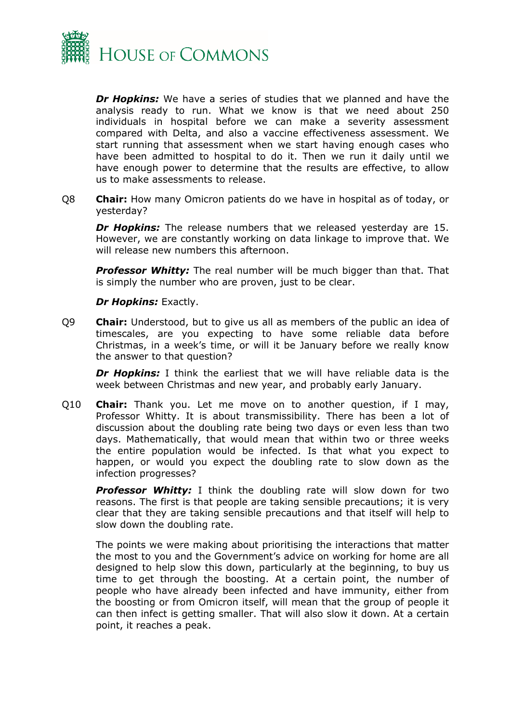

*Dr Hopkins:* We have a series of studies that we planned and have the analysis ready to run. What we know is that we need about 250 individuals in hospital before we can make a severity assessment compared with Delta, and also a vaccine effectiveness assessment. We start running that assessment when we start having enough cases who have been admitted to hospital to do it. Then we run it daily until we have enough power to determine that the results are effective, to allow us to make assessments to release.

Q8 **Chair:** How many Omicron patients do we have in hospital as of today, or yesterday?

*Dr Hopkins:* The release numbers that we released yesterday are 15. However, we are constantly working on data linkage to improve that. We will release new numbers this afternoon.

*Professor Whitty:* The real number will be much bigger than that. That is simply the number who are proven, just to be clear.

#### *Dr Hopkins:* Exactly.

Q9 **Chair:** Understood, but to give us all as members of the public an idea of timescales, are you expecting to have some reliable data before Christmas, in a week's time, or will it be January before we really know the answer to that question?

*Dr Hopkins:* I think the earliest that we will have reliable data is the week between Christmas and new year, and probably early January.

Q10 **Chair:** Thank you. Let me move on to another question, if I may, Professor Whitty. It is about transmissibility. There has been a lot of discussion about the doubling rate being two days or even less than two days. Mathematically, that would mean that within two or three weeks the entire population would be infected. Is that what you expect to happen, or would you expect the doubling rate to slow down as the infection progresses?

**Professor Whitty:** I think the doubling rate will slow down for two reasons. The first is that people are taking sensible precautions; it is very clear that they are taking sensible precautions and that itself will help to slow down the doubling rate.

The points we were making about prioritising the interactions that matter the most to you and the Government's advice on working for home are all designed to help slow this down, particularly at the beginning, to buy us time to get through the boosting. At a certain point, the number of people who have already been infected and have immunity, either from the boosting or from Omicron itself, will mean that the group of people it can then infect is getting smaller. That will also slow it down. At a certain point, it reaches a peak.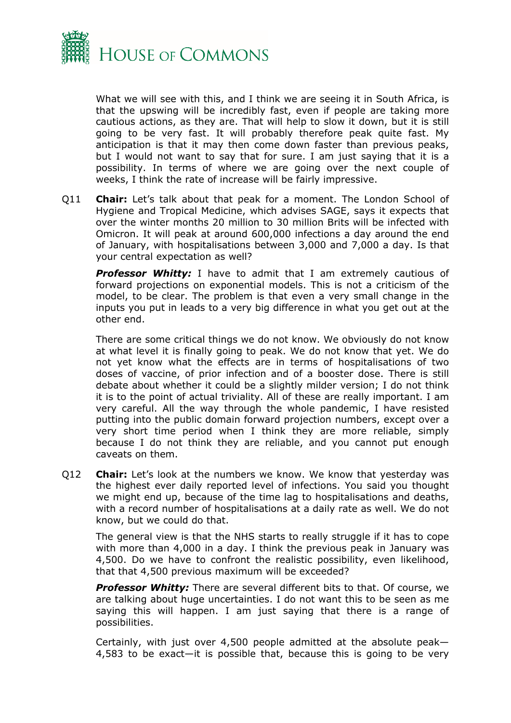

What we will see with this, and I think we are seeing it in South Africa, is that the upswing will be incredibly fast, even if people are taking more cautious actions, as they are. That will help to slow it down, but it is still going to be very fast. It will probably therefore peak quite fast. My anticipation is that it may then come down faster than previous peaks, but I would not want to say that for sure. I am just saying that it is a possibility. In terms of where we are going over the next couple of weeks, I think the rate of increase will be fairly impressive.

Q11 **Chair:** Let's talk about that peak for a moment. The London School of Hygiene and Tropical Medicine, which advises SAGE, says it expects that over the winter months 20 million to 30 million Brits will be infected with Omicron. It will peak at around 600,000 infections a day around the end of January, with hospitalisations between 3,000 and 7,000 a day. Is that your central expectation as well?

**Professor Whitty:** I have to admit that I am extremely cautious of forward projections on exponential models. This is not a criticism of the model, to be clear. The problem is that even a very small change in the inputs you put in leads to a very big difference in what you get out at the other end.

There are some critical things we do not know. We obviously do not know at what level it is finally going to peak. We do not know that yet. We do not yet know what the effects are in terms of hospitalisations of two doses of vaccine, of prior infection and of a booster dose. There is still debate about whether it could be a slightly milder version; I do not think it is to the point of actual triviality. All of these are really important. I am very careful. All the way through the whole pandemic, I have resisted putting into the public domain forward projection numbers, except over a very short time period when I think they are more reliable, simply because I do not think they are reliable, and you cannot put enough caveats on them.

Q12 **Chair:** Let's look at the numbers we know. We know that yesterday was the highest ever daily reported level of infections. You said you thought we might end up, because of the time lag to hospitalisations and deaths, with a record number of hospitalisations at a daily rate as well. We do not know, but we could do that.

The general view is that the NHS starts to really struggle if it has to cope with more than 4,000 in a day. I think the previous peak in January was 4,500. Do we have to confront the realistic possibility, even likelihood, that that 4,500 previous maximum will be exceeded?

*Professor Whitty:* There are several different bits to that. Of course, we are talking about huge uncertainties. I do not want this to be seen as me saying this will happen. I am just saying that there is a range of possibilities.

Certainly, with just over 4,500 people admitted at the absolute peak— 4,583 to be exact—it is possible that, because this is going to be very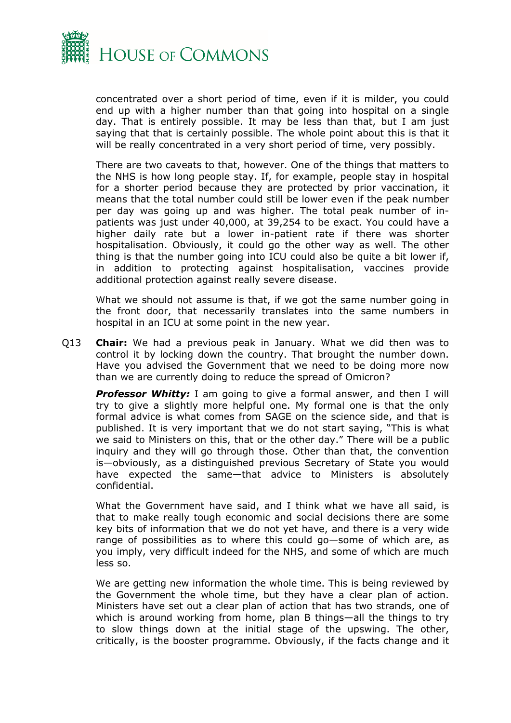

concentrated over a short period of time, even if it is milder, you could end up with a higher number than that going into hospital on a single day. That is entirely possible. It may be less than that, but I am just saying that that is certainly possible. The whole point about this is that it will be really concentrated in a very short period of time, very possibly.

There are two caveats to that, however. One of the things that matters to the NHS is how long people stay. If, for example, people stay in hospital for a shorter period because they are protected by prior vaccination, it means that the total number could still be lower even if the peak number per day was going up and was higher. The total peak number of inpatients was just under 40,000, at 39,254 to be exact. You could have a higher daily rate but a lower in-patient rate if there was shorter hospitalisation. Obviously, it could go the other way as well. The other thing is that the number going into ICU could also be quite a bit lower if, in addition to protecting against hospitalisation, vaccines provide additional protection against really severe disease.

What we should not assume is that, if we got the same number going in the front door, that necessarily translates into the same numbers in hospital in an ICU at some point in the new year.

Q13 **Chair:** We had a previous peak in January. What we did then was to control it by locking down the country. That brought the number down. Have you advised the Government that we need to be doing more now than we are currently doing to reduce the spread of Omicron?

**Professor Whitty:** I am going to give a formal answer, and then I will try to give a slightly more helpful one. My formal one is that the only formal advice is what comes from SAGE on the science side, and that is published. It is very important that we do not start saying, "This is what we said to Ministers on this, that or the other day." There will be a public inquiry and they will go through those. Other than that, the convention is—obviously, as a distinguished previous Secretary of State you would have expected the same—that advice to Ministers is absolutely confidential.

What the Government have said, and I think what we have all said, is that to make really tough economic and social decisions there are some key bits of information that we do not yet have, and there is a very wide range of possibilities as to where this could go—some of which are, as you imply, very difficult indeed for the NHS, and some of which are much less so.

We are getting new information the whole time. This is being reviewed by the Government the whole time, but they have a clear plan of action. Ministers have set out a clear plan of action that has two strands, one of which is around working from home, plan B things—all the things to try to slow things down at the initial stage of the upswing. The other, critically, is the booster programme. Obviously, if the facts change and it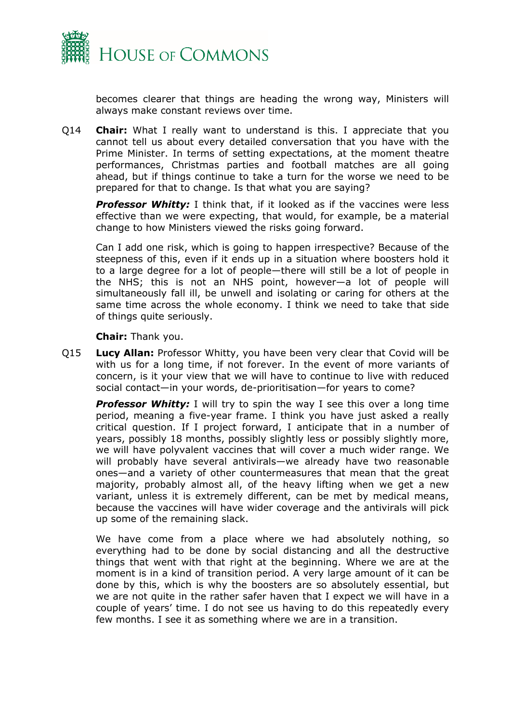

becomes clearer that things are heading the wrong way, Ministers will always make constant reviews over time.

Q14 **Chair:** What I really want to understand is this. I appreciate that you cannot tell us about every detailed conversation that you have with the Prime Minister. In terms of setting expectations, at the moment theatre performances, Christmas parties and football matches are all going ahead, but if things continue to take a turn for the worse we need to be prepared for that to change. Is that what you are saying?

*Professor Whitty:* I think that, if it looked as if the vaccines were less effective than we were expecting, that would, for example, be a material change to how Ministers viewed the risks going forward.

Can I add one risk, which is going to happen irrespective? Because of the steepness of this, even if it ends up in a situation where boosters hold it to a large degree for a lot of people—there will still be a lot of people in the NHS; this is not an NHS point, however—a lot of people will simultaneously fall ill, be unwell and isolating or caring for others at the same time across the whole economy. I think we need to take that side of things quite seriously.

**Chair:** Thank you.

Q15 **Lucy Allan:** Professor Whitty, you have been very clear that Covid will be with us for a long time, if not forever. In the event of more variants of concern, is it your view that we will have to continue to live with reduced social contact—in your words, de-prioritisation—for years to come?

**Professor Whitty:** I will try to spin the way I see this over a long time period, meaning a five-year frame. I think you have just asked a really critical question. If I project forward, I anticipate that in a number of years, possibly 18 months, possibly slightly less or possibly slightly more, we will have polyvalent vaccines that will cover a much wider range. We will probably have several antivirals—we already have two reasonable ones—and a variety of other countermeasures that mean that the great majority, probably almost all, of the heavy lifting when we get a new variant, unless it is extremely different, can be met by medical means, because the vaccines will have wider coverage and the antivirals will pick up some of the remaining slack.

We have come from a place where we had absolutely nothing, so everything had to be done by social distancing and all the destructive things that went with that right at the beginning. Where we are at the moment is in a kind of transition period. A very large amount of it can be done by this, which is why the boosters are so absolutely essential, but we are not quite in the rather safer haven that I expect we will have in a couple of years' time. I do not see us having to do this repeatedly every few months. I see it as something where we are in a transition.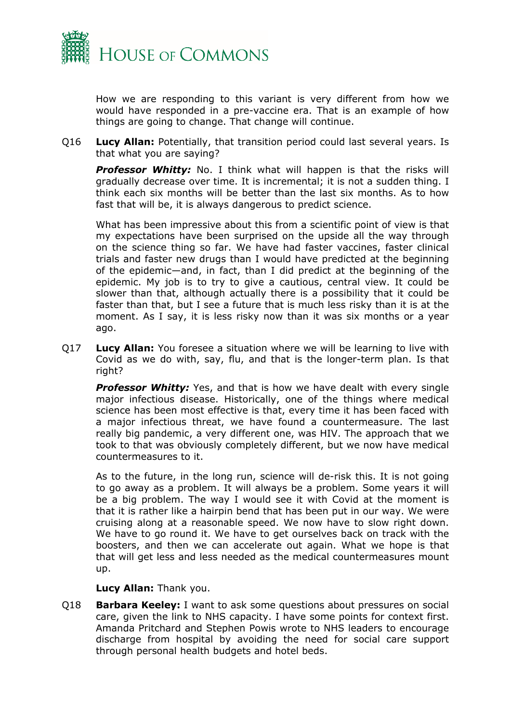

How we are responding to this variant is very different from how we would have responded in a pre-vaccine era. That is an example of how things are going to change. That change will continue.

Q16 **Lucy Allan:** Potentially, that transition period could last several years. Is that what you are saying?

**Professor Whitty:** No. I think what will happen is that the risks will gradually decrease over time. It is incremental; it is not a sudden thing. I think each six months will be better than the last six months. As to how fast that will be, it is always dangerous to predict science.

What has been impressive about this from a scientific point of view is that my expectations have been surprised on the upside all the way through on the science thing so far. We have had faster vaccines, faster clinical trials and faster new drugs than I would have predicted at the beginning of the epidemic—and, in fact, than I did predict at the beginning of the epidemic. My job is to try to give a cautious, central view. It could be slower than that, although actually there is a possibility that it could be faster than that, but I see a future that is much less risky than it is at the moment. As I say, it is less risky now than it was six months or a year ago.

Q17 **Lucy Allan:** You foresee a situation where we will be learning to live with Covid as we do with, say, flu, and that is the longer-term plan. Is that right?

*Professor Whitty:* Yes, and that is how we have dealt with every single major infectious disease. Historically, one of the things where medical science has been most effective is that, every time it has been faced with a major infectious threat, we have found a countermeasure. The last really big pandemic, a very different one, was HIV. The approach that we took to that was obviously completely different, but we now have medical countermeasures to it.

As to the future, in the long run, science will de-risk this. It is not going to go away as a problem. It will always be a problem. Some years it will be a big problem. The way I would see it with Covid at the moment is that it is rather like a hairpin bend that has been put in our way. We were cruising along at a reasonable speed. We now have to slow right down. We have to go round it. We have to get ourselves back on track with the boosters, and then we can accelerate out again. What we hope is that that will get less and less needed as the medical countermeasures mount up.

**Lucy Allan:** Thank you.

Q18 **Barbara Keeley:** I want to ask some questions about pressures on social care, given the link to NHS capacity. I have some points for context first. Amanda Pritchard and Stephen Powis wrote to NHS leaders to encourage discharge from hospital by avoiding the need for social care support through personal health budgets and hotel beds.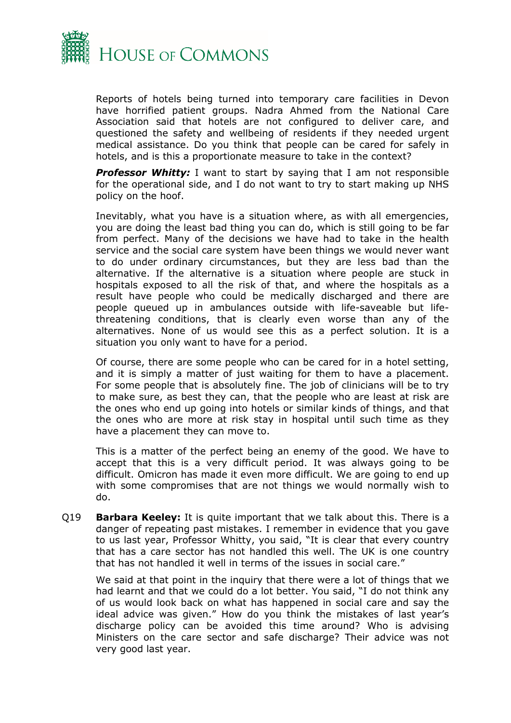

Reports of hotels being turned into temporary care facilities in Devon have horrified patient groups. Nadra Ahmed from the National Care Association said that hotels are not configured to deliver care, and questioned the safety and wellbeing of residents if they needed urgent medical assistance. Do you think that people can be cared for safely in hotels, and is this a proportionate measure to take in the context?

*Professor Whitty:* I want to start by saying that I am not responsible for the operational side, and I do not want to try to start making up NHS policy on the hoof.

Inevitably, what you have is a situation where, as with all emergencies, you are doing the least bad thing you can do, which is still going to be far from perfect. Many of the decisions we have had to take in the health service and the social care system have been things we would never want to do under ordinary circumstances, but they are less bad than the alternative. If the alternative is a situation where people are stuck in hospitals exposed to all the risk of that, and where the hospitals as a result have people who could be medically discharged and there are people queued up in ambulances outside with life-saveable but lifethreatening conditions, that is clearly even worse than any of the alternatives. None of us would see this as a perfect solution. It is a situation you only want to have for a period.

Of course, there are some people who can be cared for in a hotel setting, and it is simply a matter of just waiting for them to have a placement. For some people that is absolutely fine. The job of clinicians will be to try to make sure, as best they can, that the people who are least at risk are the ones who end up going into hotels or similar kinds of things, and that the ones who are more at risk stay in hospital until such time as they have a placement they can move to.

This is a matter of the perfect being an enemy of the good. We have to accept that this is a very difficult period. It was always going to be difficult. Omicron has made it even more difficult. We are going to end up with some compromises that are not things we would normally wish to do.

Q19 **Barbara Keeley:** It is quite important that we talk about this. There is a danger of repeating past mistakes. I remember in evidence that you gave to us last year, Professor Whitty, you said, "It is clear that every country that has a care sector has not handled this well. The UK is one country that has not handled it well in terms of the issues in social care."

We said at that point in the inquiry that there were a lot of things that we had learnt and that we could do a lot better. You said, "I do not think any of us would look back on what has happened in social care and say the ideal advice was given." How do you think the mistakes of last year's discharge policy can be avoided this time around? Who is advising Ministers on the care sector and safe discharge? Their advice was not very good last year.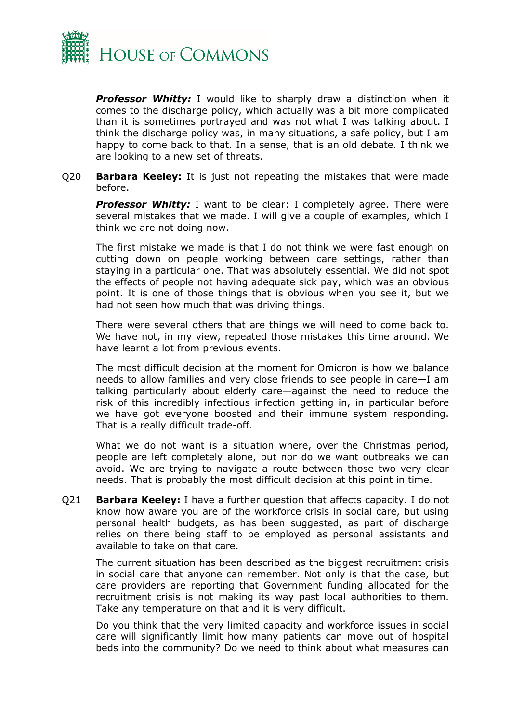

**Professor Whitty:** I would like to sharply draw a distinction when it comes to the discharge policy, which actually was a bit more complicated than it is sometimes portrayed and was not what I was talking about. I think the discharge policy was, in many situations, a safe policy, but I am happy to come back to that. In a sense, that is an old debate. I think we are looking to a new set of threats.

Q20 **Barbara Keeley:** It is just not repeating the mistakes that were made before.

**Professor Whitty:** I want to be clear: I completely agree. There were several mistakes that we made. I will give a couple of examples, which I think we are not doing now.

The first mistake we made is that I do not think we were fast enough on cutting down on people working between care settings, rather than staying in a particular one. That was absolutely essential. We did not spot the effects of people not having adequate sick pay, which was an obvious point. It is one of those things that is obvious when you see it, but we had not seen how much that was driving things.

There were several others that are things we will need to come back to. We have not, in my view, repeated those mistakes this time around. We have learnt a lot from previous events.

The most difficult decision at the moment for Omicron is how we balance needs to allow families and very close friends to see people in care—I am talking particularly about elderly care—against the need to reduce the risk of this incredibly infectious infection getting in, in particular before we have got everyone boosted and their immune system responding. That is a really difficult trade-off.

What we do not want is a situation where, over the Christmas period, people are left completely alone, but nor do we want outbreaks we can avoid. We are trying to navigate a route between those two very clear needs. That is probably the most difficult decision at this point in time.

Q21 **Barbara Keeley:** I have a further question that affects capacity. I do not know how aware you are of the workforce crisis in social care, but using personal health budgets, as has been suggested, as part of discharge relies on there being staff to be employed as personal assistants and available to take on that care.

The current situation has been described as the biggest recruitment crisis in social care that anyone can remember. Not only is that the case, but care providers are reporting that Government funding allocated for the recruitment crisis is not making its way past local authorities to them. Take any temperature on that and it is very difficult.

Do you think that the very limited capacity and workforce issues in social care will significantly limit how many patients can move out of hospital beds into the community? Do we need to think about what measures can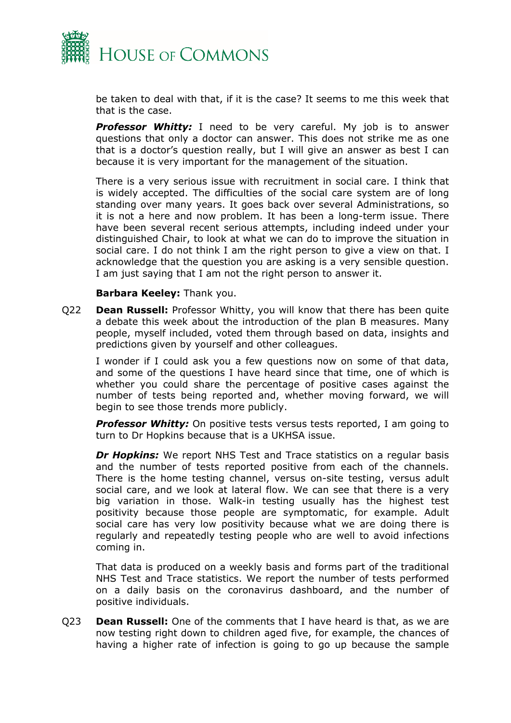

be taken to deal with that, if it is the case? It seems to me this week that that is the case.

**Professor Whitty:** I need to be very careful. My job is to answer questions that only a doctor can answer. This does not strike me as one that is a doctor's question really, but I will give an answer as best I can because it is very important for the management of the situation.

There is a very serious issue with recruitment in social care. I think that is widely accepted. The difficulties of the social care system are of long standing over many years. It goes back over several Administrations, so it is not a here and now problem. It has been a long-term issue. There have been several recent serious attempts, including indeed under your distinguished Chair, to look at what we can do to improve the situation in social care. I do not think I am the right person to give a view on that. I acknowledge that the question you are asking is a very sensible question. I am just saying that I am not the right person to answer it.

#### **Barbara Keeley:** Thank you.

Q22 **Dean Russell:** Professor Whitty, you will know that there has been quite a debate this week about the introduction of the plan B measures. Many people, myself included, voted them through based on data, insights and predictions given by yourself and other colleagues.

I wonder if I could ask you a few questions now on some of that data, and some of the questions I have heard since that time, one of which is whether you could share the percentage of positive cases against the number of tests being reported and, whether moving forward, we will begin to see those trends more publicly.

*Professor Whitty:* On positive tests versus tests reported, I am going to turn to Dr Hopkins because that is a UKHSA issue.

*Dr Hopkins:* We report NHS Test and Trace statistics on a regular basis and the number of tests reported positive from each of the channels. There is the home testing channel, versus on-site testing, versus adult social care, and we look at lateral flow. We can see that there is a very big variation in those. Walk-in testing usually has the highest test positivity because those people are symptomatic, for example. Adult social care has very low positivity because what we are doing there is regularly and repeatedly testing people who are well to avoid infections coming in.

That data is produced on a weekly basis and forms part of the traditional NHS Test and Trace statistics. We report the number of tests performed on a daily basis on the coronavirus dashboard, and the number of positive individuals.

Q23 **Dean Russell:** One of the comments that I have heard is that, as we are now testing right down to children aged five, for example, the chances of having a higher rate of infection is going to go up because the sample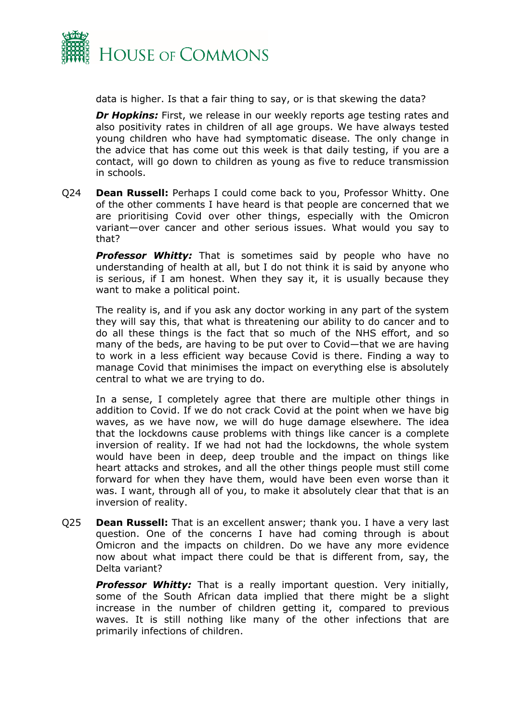

data is higher. Is that a fair thing to say, or is that skewing the data?

*Dr Hopkins:* First, we release in our weekly reports age testing rates and also positivity rates in children of all age groups. We have always tested young children who have had symptomatic disease. The only change in the advice that has come out this week is that daily testing, if you are a contact, will go down to children as young as five to reduce transmission in schools.

Q24 **Dean Russell:** Perhaps I could come back to you, Professor Whitty. One of the other comments I have heard is that people are concerned that we are prioritising Covid over other things, especially with the Omicron variant—over cancer and other serious issues. What would you say to that?

**Professor Whitty:** That is sometimes said by people who have no understanding of health at all, but I do not think it is said by anyone who is serious, if I am honest. When they say it, it is usually because they want to make a political point.

The reality is, and if you ask any doctor working in any part of the system they will say this, that what is threatening our ability to do cancer and to do all these things is the fact that so much of the NHS effort, and so many of the beds, are having to be put over to Covid—that we are having to work in a less efficient way because Covid is there. Finding a way to manage Covid that minimises the impact on everything else is absolutely central to what we are trying to do.

In a sense, I completely agree that there are multiple other things in addition to Covid. If we do not crack Covid at the point when we have big waves, as we have now, we will do huge damage elsewhere. The idea that the lockdowns cause problems with things like cancer is a complete inversion of reality. If we had not had the lockdowns, the whole system would have been in deep, deep trouble and the impact on things like heart attacks and strokes, and all the other things people must still come forward for when they have them, would have been even worse than it was. I want, through all of you, to make it absolutely clear that that is an inversion of reality.

Q25 **Dean Russell:** That is an excellent answer; thank you. I have a very last question. One of the concerns I have had coming through is about Omicron and the impacts on children. Do we have any more evidence now about what impact there could be that is different from, say, the Delta variant?

*Professor Whitty:* That is a really important question. Very initially, some of the South African data implied that there might be a slight increase in the number of children getting it, compared to previous waves. It is still nothing like many of the other infections that are primarily infections of children.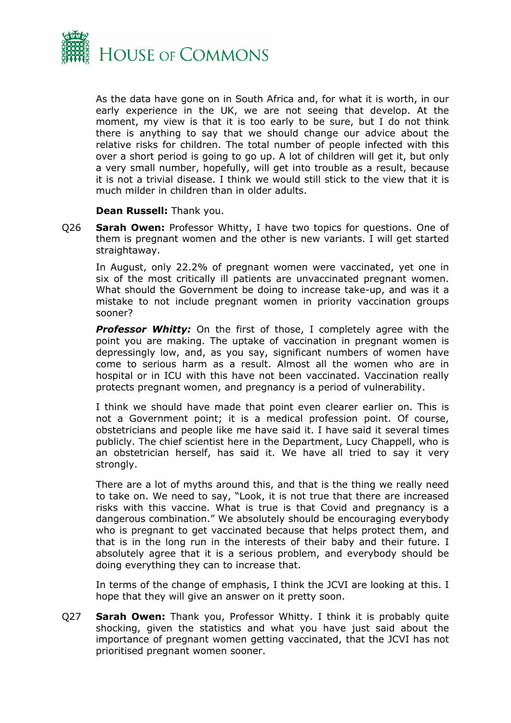

As the data have gone on in South Africa and, for what it is worth, in our early experience in the UK, we are not seeing that develop. At the moment, my view is that it is too early to be sure, but I do not think there is anything to say that we should change our advice about the relative risks for children. The total number of people infected with this over a short period is going to go up. A lot of children will get it, but only a very small number, hopefully, will get into trouble as a result, because it is not a trivial disease. I think we would still stick to the view that it is much milder in children than in older adults.

#### **Dean Russell:** Thank you.

Q26 **Sarah Owen:** Professor Whitty, I have two topics for questions. One of them is pregnant women and the other is new variants. I will get started straightaway.

In August, only 22.2% of pregnant women were vaccinated, yet one in six of the most critically ill patients are unvaccinated pregnant women. What should the Government be doing to increase take-up, and was it a mistake to not include pregnant women in priority vaccination groups sooner?

**Professor Whitty:** On the first of those, I completely agree with the point you are making. The uptake of vaccination in pregnant women is depressingly low, and, as you say, significant numbers of women have come to serious harm as a result. Almost all the women who are in hospital or in ICU with this have not been vaccinated. Vaccination really protects pregnant women, and pregnancy is a period of vulnerability.

I think we should have made that point even clearer earlier on. This is not a Government point; it is a medical profession point. Of course, obstetricians and people like me have said it. I have said it several times publicly. The chief scientist here in the Department, Lucy Chappell, who is an obstetrician herself, has said it. We have all tried to say it very strongly.

There are a lot of myths around this, and that is the thing we really need to take on. We need to say, "Look, it is not true that there are increased risks with this vaccine. What is true is that Covid and pregnancy is a dangerous combination." We absolutely should be encouraging everybody who is pregnant to get vaccinated because that helps protect them, and that is in the long run in the interests of their baby and their future. I absolutely agree that it is a serious problem, and everybody should be doing everything they can to increase that.

In terms of the change of emphasis, I think the JCVI are looking at this. I hope that they will give an answer on it pretty soon.

Q27 **Sarah Owen:** Thank you, Professor Whitty. I think it is probably quite shocking, given the statistics and what you have just said about the importance of pregnant women getting vaccinated, that the JCVI has not prioritised pregnant women sooner.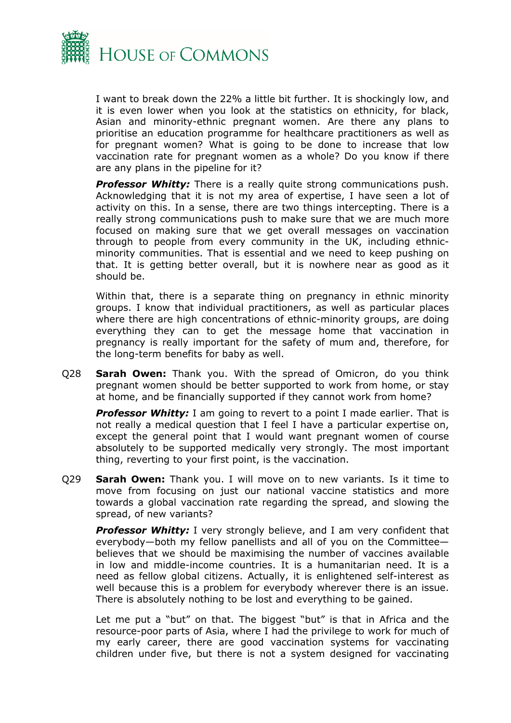

I want to break down the 22% a little bit further. It is shockingly low, and it is even lower when you look at the statistics on ethnicity, for black, Asian and minority-ethnic pregnant women. Are there any plans to prioritise an education programme for healthcare practitioners as well as for pregnant women? What is going to be done to increase that low vaccination rate for pregnant women as a whole? Do you know if there are any plans in the pipeline for it?

**Professor Whitty:** There is a really quite strong communications push. Acknowledging that it is not my area of expertise, I have seen a lot of activity on this. In a sense, there are two things intercepting. There is a really strong communications push to make sure that we are much more focused on making sure that we get overall messages on vaccination through to people from every community in the UK, including ethnicminority communities. That is essential and we need to keep pushing on that. It is getting better overall, but it is nowhere near as good as it should be.

Within that, there is a separate thing on pregnancy in ethnic minority groups. I know that individual practitioners, as well as particular places where there are high concentrations of ethnic-minority groups, are doing everything they can to get the message home that vaccination in pregnancy is really important for the safety of mum and, therefore, for the long-term benefits for baby as well.

Q28 **Sarah Owen:** Thank you. With the spread of Omicron, do you think pregnant women should be better supported to work from home, or stay at home, and be financially supported if they cannot work from home?

**Professor Whitty:** I am going to revert to a point I made earlier. That is not really a medical question that I feel I have a particular expertise on, except the general point that I would want pregnant women of course absolutely to be supported medically very strongly. The most important thing, reverting to your first point, is the vaccination.

Q29 **Sarah Owen:** Thank you. I will move on to new variants. Is it time to move from focusing on just our national vaccine statistics and more towards a global vaccination rate regarding the spread, and slowing the spread, of new variants?

**Professor Whitty:** I very strongly believe, and I am very confident that everybody—both my fellow panellists and all of you on the Committee believes that we should be maximising the number of vaccines available in low and middle-income countries. It is a humanitarian need. It is a need as fellow global citizens. Actually, it is enlightened self-interest as well because this is a problem for everybody wherever there is an issue. There is absolutely nothing to be lost and everything to be gained.

Let me put a "but" on that. The biggest "but" is that in Africa and the resource-poor parts of Asia, where I had the privilege to work for much of my early career, there are good vaccination systems for vaccinating children under five, but there is not a system designed for vaccinating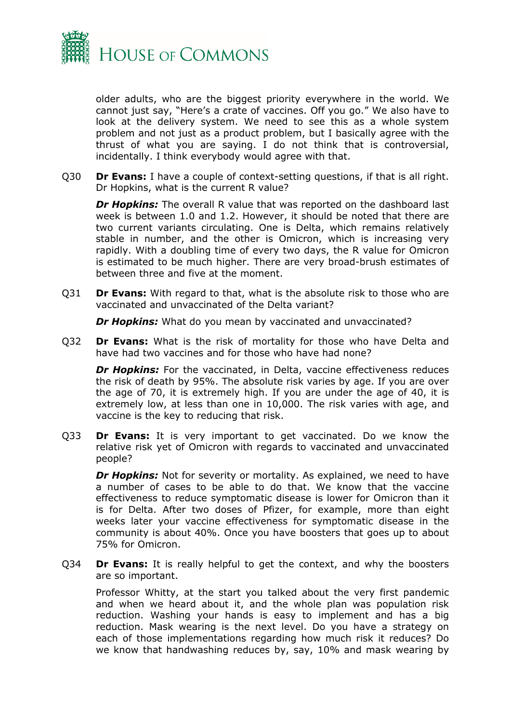

older adults, who are the biggest priority everywhere in the world. We cannot just say, "Here's a crate of vaccines. Off you go." We also have to look at the delivery system. We need to see this as a whole system problem and not just as a product problem, but I basically agree with the thrust of what you are saying. I do not think that is controversial, incidentally. I think everybody would agree with that.

Q30 **Dr Evans:** I have a couple of context-setting questions, if that is all right. Dr Hopkins, what is the current R value?

*Dr Hopkins:* The overall R value that was reported on the dashboard last week is between 1.0 and 1.2. However, it should be noted that there are two current variants circulating. One is Delta, which remains relatively stable in number, and the other is Omicron, which is increasing very rapidly. With a doubling time of every two days, the R value for Omicron is estimated to be much higher. There are very broad-brush estimates of between three and five at the moment.

Q31 **Dr Evans:** With regard to that, what is the absolute risk to those who are vaccinated and unvaccinated of the Delta variant?

**Dr Hopkins:** What do you mean by vaccinated and unvaccinated?

Q32 **Dr Evans:** What is the risk of mortality for those who have Delta and have had two vaccines and for those who have had none?

**Dr Hopkins:** For the vaccinated, in Delta, vaccine effectiveness reduces the risk of death by 95%. The absolute risk varies by age. If you are over the age of 70, it is extremely high. If you are under the age of 40, it is extremely low, at less than one in 10,000. The risk varies with age, and vaccine is the key to reducing that risk.

Q33 **Dr Evans:** It is very important to get vaccinated. Do we know the relative risk yet of Omicron with regards to vaccinated and unvaccinated people?

**Dr Hopkins:** Not for severity or mortality. As explained, we need to have a number of cases to be able to do that. We know that the vaccine effectiveness to reduce symptomatic disease is lower for Omicron than it is for Delta. After two doses of Pfizer, for example, more than eight weeks later your vaccine effectiveness for symptomatic disease in the community is about 40%. Once you have boosters that goes up to about 75% for Omicron.

Q34 **Dr Evans:** It is really helpful to get the context, and why the boosters are so important.

Professor Whitty, at the start you talked about the very first pandemic and when we heard about it, and the whole plan was population risk reduction. Washing your hands is easy to implement and has a big reduction. Mask wearing is the next level. Do you have a strategy on each of those implementations regarding how much risk it reduces? Do we know that handwashing reduces by, say, 10% and mask wearing by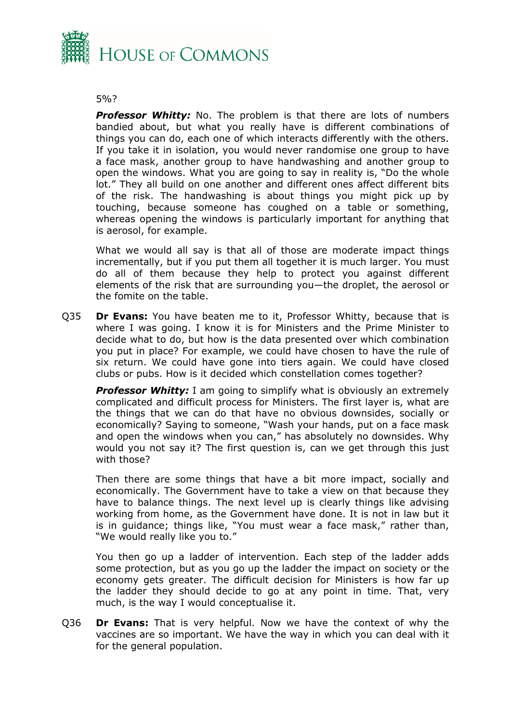

#### 5%?

**Professor Whitty:** No. The problem is that there are lots of numbers bandied about, but what you really have is different combinations of things you can do, each one of which interacts differently with the others. If you take it in isolation, you would never randomise one group to have a face mask, another group to have handwashing and another group to open the windows. What you are going to say in reality is, "Do the whole lot." They all build on one another and different ones affect different bits of the risk. The handwashing is about things you might pick up by touching, because someone has coughed on a table or something, whereas opening the windows is particularly important for anything that is aerosol, for example.

What we would all say is that all of those are moderate impact things incrementally, but if you put them all together it is much larger. You must do all of them because they help to protect you against different elements of the risk that are surrounding you—the droplet, the aerosol or the fomite on the table.

Q35 **Dr Evans:** You have beaten me to it, Professor Whitty, because that is where I was going. I know it is for Ministers and the Prime Minister to decide what to do, but how is the data presented over which combination you put in place? For example, we could have chosen to have the rule of six return. We could have gone into tiers again. We could have closed clubs or pubs. How is it decided which constellation comes together?

*Professor Whitty:* I am going to simplify what is obviously an extremely complicated and difficult process for Ministers. The first layer is, what are the things that we can do that have no obvious downsides, socially or economically? Saying to someone, "Wash your hands, put on a face mask and open the windows when you can," has absolutely no downsides. Why would you not say it? The first question is, can we get through this just with those?

Then there are some things that have a bit more impact, socially and economically. The Government have to take a view on that because they have to balance things. The next level up is clearly things like advising working from home, as the Government have done. It is not in law but it is in guidance; things like, "You must wear a face mask," rather than, "We would really like you to."

You then go up a ladder of intervention. Each step of the ladder adds some protection, but as you go up the ladder the impact on society or the economy gets greater. The difficult decision for Ministers is how far up the ladder they should decide to go at any point in time. That, very much, is the way I would conceptualise it.

Q36 **Dr Evans:** That is very helpful. Now we have the context of why the vaccines are so important. We have the way in which you can deal with it for the general population.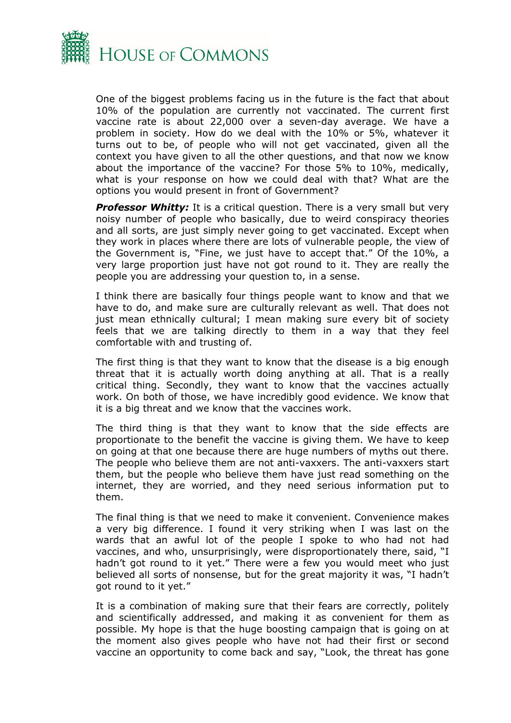

One of the biggest problems facing us in the future is the fact that about 10% of the population are currently not vaccinated. The current first vaccine rate is about 22,000 over a seven-day average. We have a problem in society. How do we deal with the 10% or 5%, whatever it turns out to be, of people who will not get vaccinated, given all the context you have given to all the other questions, and that now we know about the importance of the vaccine? For those 5% to 10%, medically, what is your response on how we could deal with that? What are the options you would present in front of Government?

**Professor Whitty:** It is a critical question. There is a very small but very noisy number of people who basically, due to weird conspiracy theories and all sorts, are just simply never going to get vaccinated. Except when they work in places where there are lots of vulnerable people, the view of the Government is, "Fine, we just have to accept that." Of the 10%, a very large proportion just have not got round to it. They are really the people you are addressing your question to, in a sense.

I think there are basically four things people want to know and that we have to do, and make sure are culturally relevant as well. That does not just mean ethnically cultural; I mean making sure every bit of society feels that we are talking directly to them in a way that they feel comfortable with and trusting of.

The first thing is that they want to know that the disease is a big enough threat that it is actually worth doing anything at all. That is a really critical thing. Secondly, they want to know that the vaccines actually work. On both of those, we have incredibly good evidence. We know that it is a big threat and we know that the vaccines work.

The third thing is that they want to know that the side effects are proportionate to the benefit the vaccine is giving them. We have to keep on going at that one because there are huge numbers of myths out there. The people who believe them are not anti-vaxxers. The anti-vaxxers start them, but the people who believe them have just read something on the internet, they are worried, and they need serious information put to them.

The final thing is that we need to make it convenient. Convenience makes a very big difference. I found it very striking when I was last on the wards that an awful lot of the people I spoke to who had not had vaccines, and who, unsurprisingly, were disproportionately there, said, "I hadn't got round to it yet." There were a few you would meet who just believed all sorts of nonsense, but for the great majority it was, "I hadn't got round to it yet."

It is a combination of making sure that their fears are correctly, politely and scientifically addressed, and making it as convenient for them as possible. My hope is that the huge boosting campaign that is going on at the moment also gives people who have not had their first or second vaccine an opportunity to come back and say, "Look, the threat has gone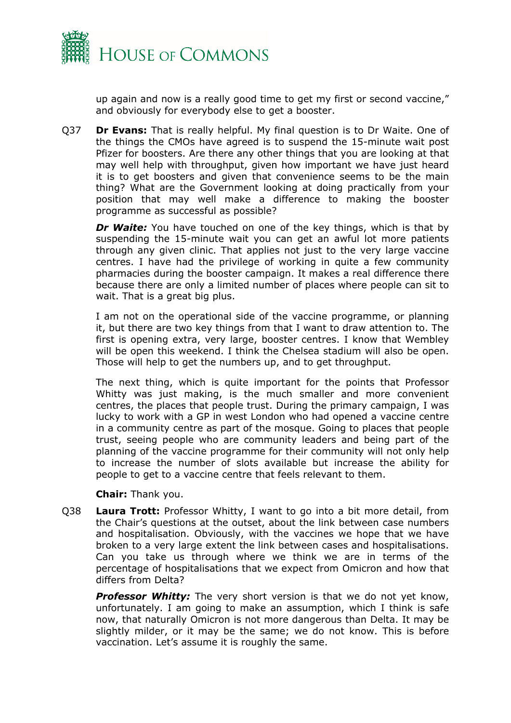

up again and now is a really good time to get my first or second vaccine," and obviously for everybody else to get a booster.

Q37 **Dr Evans:** That is really helpful. My final question is to Dr Waite. One of the things the CMOs have agreed is to suspend the 15-minute wait post Pfizer for boosters. Are there any other things that you are looking at that may well help with throughput, given how important we have just heard it is to get boosters and given that convenience seems to be the main thing? What are the Government looking at doing practically from your position that may well make a difference to making the booster programme as successful as possible?

*Dr Waite:* You have touched on one of the key things, which is that by suspending the 15-minute wait you can get an awful lot more patients through any given clinic. That applies not just to the very large vaccine centres. I have had the privilege of working in quite a few community pharmacies during the booster campaign. It makes a real difference there because there are only a limited number of places where people can sit to wait. That is a great big plus.

I am not on the operational side of the vaccine programme, or planning it, but there are two key things from that I want to draw attention to. The first is opening extra, very large, booster centres. I know that Wembley will be open this weekend. I think the Chelsea stadium will also be open. Those will help to get the numbers up, and to get throughput.

The next thing, which is quite important for the points that Professor Whitty was just making, is the much smaller and more convenient centres, the places that people trust. During the primary campaign, I was lucky to work with a GP in west London who had opened a vaccine centre in a community centre as part of the mosque. Going to places that people trust, seeing people who are community leaders and being part of the planning of the vaccine programme for their community will not only help to increase the number of slots available but increase the ability for people to get to a vaccine centre that feels relevant to them.

**Chair:** Thank you.

Q38 **Laura Trott:** Professor Whitty, I want to go into a bit more detail, from the Chair's questions at the outset, about the link between case numbers and hospitalisation. Obviously, with the vaccines we hope that we have broken to a very large extent the link between cases and hospitalisations. Can you take us through where we think we are in terms of the percentage of hospitalisations that we expect from Omicron and how that differs from Delta?

**Professor Whitty:** The very short version is that we do not yet know, unfortunately. I am going to make an assumption, which I think is safe now, that naturally Omicron is not more dangerous than Delta. It may be slightly milder, or it may be the same; we do not know. This is before vaccination. Let's assume it is roughly the same.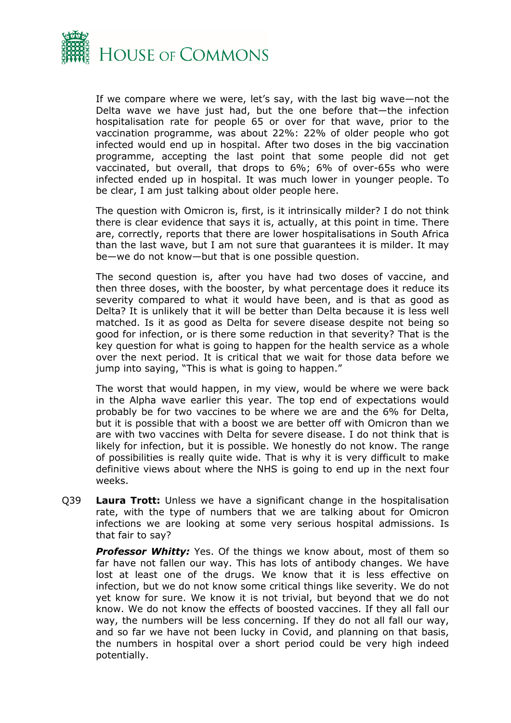

If we compare where we were, let's say, with the last big wave—not the Delta wave we have just had, but the one before that—the infection hospitalisation rate for people 65 or over for that wave, prior to the vaccination programme, was about 22%: 22% of older people who got infected would end up in hospital. After two doses in the big vaccination programme, accepting the last point that some people did not get vaccinated, but overall, that drops to 6%; 6% of over-65s who were infected ended up in hospital. It was much lower in younger people. To be clear, I am just talking about older people here.

The question with Omicron is, first, is it intrinsically milder? I do not think there is clear evidence that says it is, actually, at this point in time. There are, correctly, reports that there are lower hospitalisations in South Africa than the last wave, but I am not sure that guarantees it is milder. It may be—we do not know—but that is one possible question.

The second question is, after you have had two doses of vaccine, and then three doses, with the booster, by what percentage does it reduce its severity compared to what it would have been, and is that as good as Delta? It is unlikely that it will be better than Delta because it is less well matched. Is it as good as Delta for severe disease despite not being so good for infection, or is there some reduction in that severity? That is the key question for what is going to happen for the health service as a whole over the next period. It is critical that we wait for those data before we jump into saying, "This is what is going to happen."

The worst that would happen, in my view, would be where we were back in the Alpha wave earlier this year. The top end of expectations would probably be for two vaccines to be where we are and the 6% for Delta, but it is possible that with a boost we are better off with Omicron than we are with two vaccines with Delta for severe disease. I do not think that is likely for infection, but it is possible. We honestly do not know. The range of possibilities is really quite wide. That is why it is very difficult to make definitive views about where the NHS is going to end up in the next four weeks.

Q39 **Laura Trott:** Unless we have a significant change in the hospitalisation rate, with the type of numbers that we are talking about for Omicron infections we are looking at some very serious hospital admissions. Is that fair to say?

*Professor Whitty:* Yes. Of the things we know about, most of them so far have not fallen our way. This has lots of antibody changes. We have lost at least one of the drugs. We know that it is less effective on infection, but we do not know some critical things like severity. We do not yet know for sure. We know it is not trivial, but beyond that we do not know. We do not know the effects of boosted vaccines. If they all fall our way, the numbers will be less concerning. If they do not all fall our way, and so far we have not been lucky in Covid, and planning on that basis, the numbers in hospital over a short period could be very high indeed potentially.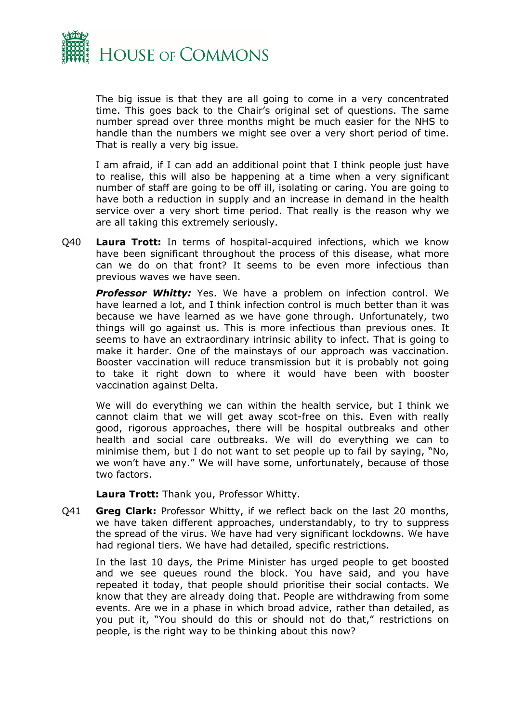

The big issue is that they are all going to come in a very concentrated time. This goes back to the Chair's original set of questions. The same number spread over three months might be much easier for the NHS to handle than the numbers we might see over a very short period of time. That is really a very big issue.

I am afraid, if I can add an additional point that I think people just have to realise, this will also be happening at a time when a very significant number of staff are going to be off ill, isolating or caring. You are going to have both a reduction in supply and an increase in demand in the health service over a very short time period. That really is the reason why we are all taking this extremely seriously.

Q40 **Laura Trott:** In terms of hospital-acquired infections, which we know have been significant throughout the process of this disease, what more can we do on that front? It seems to be even more infectious than previous waves we have seen.

**Professor Whitty:** Yes. We have a problem on infection control. We have learned a lot, and I think infection control is much better than it was because we have learned as we have gone through. Unfortunately, two things will go against us. This is more infectious than previous ones. It seems to have an extraordinary intrinsic ability to infect. That is going to make it harder. One of the mainstays of our approach was vaccination. Booster vaccination will reduce transmission but it is probably not going to take it right down to where it would have been with booster vaccination against Delta.

We will do everything we can within the health service, but I think we cannot claim that we will get away scot-free on this. Even with really good, rigorous approaches, there will be hospital outbreaks and other health and social care outbreaks. We will do everything we can to minimise them, but I do not want to set people up to fail by saying, "No, we won't have any." We will have some, unfortunately, because of those two factors.

**Laura Trott:** Thank you, Professor Whitty.

Q41 **Greg Clark:** Professor Whitty, if we reflect back on the last 20 months, we have taken different approaches, understandably, to try to suppress the spread of the virus. We have had very significant lockdowns. We have had regional tiers. We have had detailed, specific restrictions.

In the last 10 days, the Prime Minister has urged people to get boosted and we see queues round the block. You have said, and you have repeated it today, that people should prioritise their social contacts. We know that they are already doing that. People are withdrawing from some events. Are we in a phase in which broad advice, rather than detailed, as you put it, "You should do this or should not do that," restrictions on people, is the right way to be thinking about this now?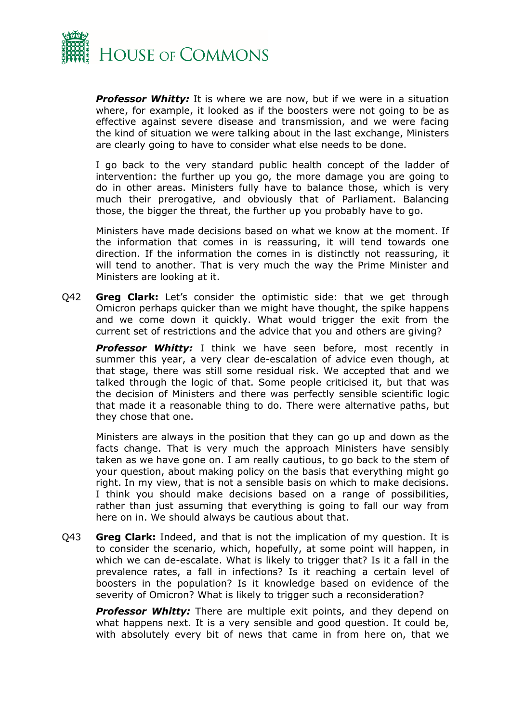

*Professor Whitty:* It is where we are now, but if we were in a situation where, for example, it looked as if the boosters were not going to be as effective against severe disease and transmission, and we were facing the kind of situation we were talking about in the last exchange, Ministers are clearly going to have to consider what else needs to be done.

I go back to the very standard public health concept of the ladder of intervention: the further up you go, the more damage you are going to do in other areas. Ministers fully have to balance those, which is very much their prerogative, and obviously that of Parliament. Balancing those, the bigger the threat, the further up you probably have to go.

Ministers have made decisions based on what we know at the moment. If the information that comes in is reassuring, it will tend towards one direction. If the information the comes in is distinctly not reassuring, it will tend to another. That is very much the way the Prime Minister and Ministers are looking at it.

Q42 **Greg Clark:** Let's consider the optimistic side: that we get through Omicron perhaps quicker than we might have thought, the spike happens and we come down it quickly. What would trigger the exit from the current set of restrictions and the advice that you and others are giving?

*Professor Whitty:* I think we have seen before, most recently in summer this year, a very clear de-escalation of advice even though, at that stage, there was still some residual risk. We accepted that and we talked through the logic of that. Some people criticised it, but that was the decision of Ministers and there was perfectly sensible scientific logic that made it a reasonable thing to do. There were alternative paths, but they chose that one.

Ministers are always in the position that they can go up and down as the facts change. That is very much the approach Ministers have sensibly taken as we have gone on. I am really cautious, to go back to the stem of your question, about making policy on the basis that everything might go right. In my view, that is not a sensible basis on which to make decisions. I think you should make decisions based on a range of possibilities, rather than just assuming that everything is going to fall our way from here on in. We should always be cautious about that.

Q43 **Greg Clark:** Indeed, and that is not the implication of my question. It is to consider the scenario, which, hopefully, at some point will happen, in which we can de-escalate. What is likely to trigger that? Is it a fall in the prevalence rates, a fall in infections? Is it reaching a certain level of boosters in the population? Is it knowledge based on evidence of the severity of Omicron? What is likely to trigger such a reconsideration?

**Professor Whitty:** There are multiple exit points, and they depend on what happens next. It is a very sensible and good question. It could be, with absolutely every bit of news that came in from here on, that we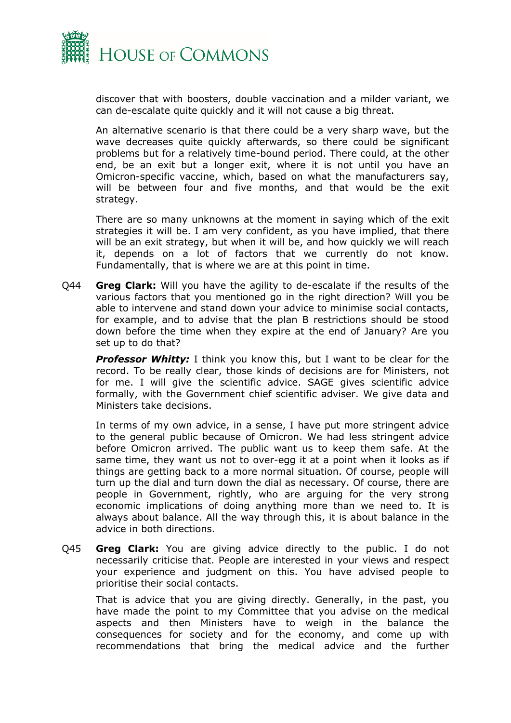

discover that with boosters, double vaccination and a milder variant, we can de-escalate quite quickly and it will not cause a big threat.

An alternative scenario is that there could be a very sharp wave, but the wave decreases quite quickly afterwards, so there could be significant problems but for a relatively time-bound period. There could, at the other end, be an exit but a longer exit, where it is not until you have an Omicron-specific vaccine, which, based on what the manufacturers say, will be between four and five months, and that would be the exit strategy.

There are so many unknowns at the moment in saying which of the exit strategies it will be. I am very confident, as you have implied, that there will be an exit strategy, but when it will be, and how quickly we will reach it, depends on a lot of factors that we currently do not know. Fundamentally, that is where we are at this point in time.

Q44 **Greg Clark:** Will you have the agility to de-escalate if the results of the various factors that you mentioned go in the right direction? Will you be able to intervene and stand down your advice to minimise social contacts, for example, and to advise that the plan B restrictions should be stood down before the time when they expire at the end of January? Are you set up to do that?

**Professor Whitty:** I think you know this, but I want to be clear for the record. To be really clear, those kinds of decisions are for Ministers, not for me. I will give the scientific advice. SAGE gives scientific advice formally, with the Government chief scientific adviser. We give data and Ministers take decisions.

In terms of my own advice, in a sense, I have put more stringent advice to the general public because of Omicron. We had less stringent advice before Omicron arrived. The public want us to keep them safe. At the same time, they want us not to over-egg it at a point when it looks as if things are getting back to a more normal situation. Of course, people will turn up the dial and turn down the dial as necessary. Of course, there are people in Government, rightly, who are arguing for the very strong economic implications of doing anything more than we need to. It is always about balance. All the way through this, it is about balance in the advice in both directions.

Q45 **Greg Clark:** You are giving advice directly to the public. I do not necessarily criticise that. People are interested in your views and respect your experience and judgment on this. You have advised people to prioritise their social contacts.

That is advice that you are giving directly. Generally, in the past, you have made the point to my Committee that you advise on the medical aspects and then Ministers have to weigh in the balance the consequences for society and for the economy, and come up with recommendations that bring the medical advice and the further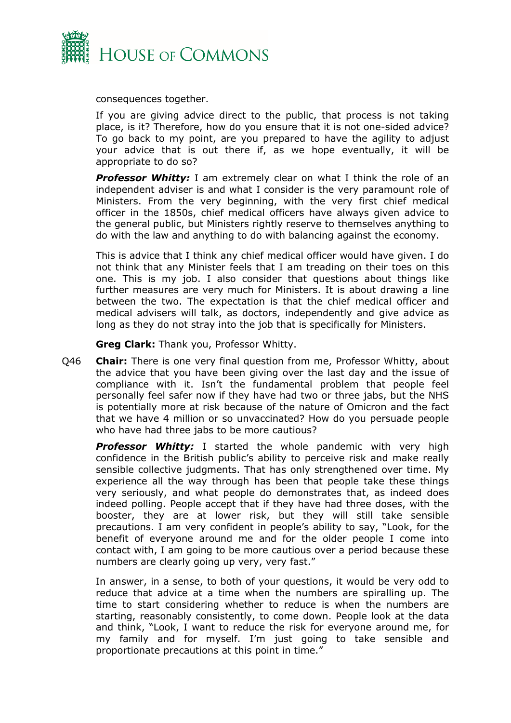

consequences together.

If you are giving advice direct to the public, that process is not taking place, is it? Therefore, how do you ensure that it is not one-sided advice? To go back to my point, are you prepared to have the agility to adjust your advice that is out there if, as we hope eventually, it will be appropriate to do so?

*Professor Whitty:* I am extremely clear on what I think the role of an independent adviser is and what I consider is the very paramount role of Ministers. From the very beginning, with the very first chief medical officer in the 1850s, chief medical officers have always given advice to the general public, but Ministers rightly reserve to themselves anything to do with the law and anything to do with balancing against the economy.

This is advice that I think any chief medical officer would have given. I do not think that any Minister feels that I am treading on their toes on this one. This is my job. I also consider that questions about things like further measures are very much for Ministers. It is about drawing a line between the two. The expectation is that the chief medical officer and medical advisers will talk, as doctors, independently and give advice as long as they do not stray into the job that is specifically for Ministers.

**Greg Clark:** Thank you, Professor Whitty.

Q46 **Chair:** There is one very final question from me, Professor Whitty, about the advice that you have been giving over the last day and the issue of compliance with it. Isn't the fundamental problem that people feel personally feel safer now if they have had two or three jabs, but the NHS is potentially more at risk because of the nature of Omicron and the fact that we have 4 million or so unvaccinated? How do you persuade people who have had three jabs to be more cautious?

*Professor Whitty:* I started the whole pandemic with very high confidence in the British public's ability to perceive risk and make really sensible collective judgments. That has only strengthened over time. My experience all the way through has been that people take these things very seriously, and what people do demonstrates that, as indeed does indeed polling. People accept that if they have had three doses, with the booster, they are at lower risk, but they will still take sensible precautions. I am very confident in people's ability to say, "Look, for the benefit of everyone around me and for the older people I come into contact with, I am going to be more cautious over a period because these numbers are clearly going up very, very fast."

In answer, in a sense, to both of your questions, it would be very odd to reduce that advice at a time when the numbers are spiralling up. The time to start considering whether to reduce is when the numbers are starting, reasonably consistently, to come down. People look at the data and think, "Look, I want to reduce the risk for everyone around me, for my family and for myself. I'm just going to take sensible and proportionate precautions at this point in time."